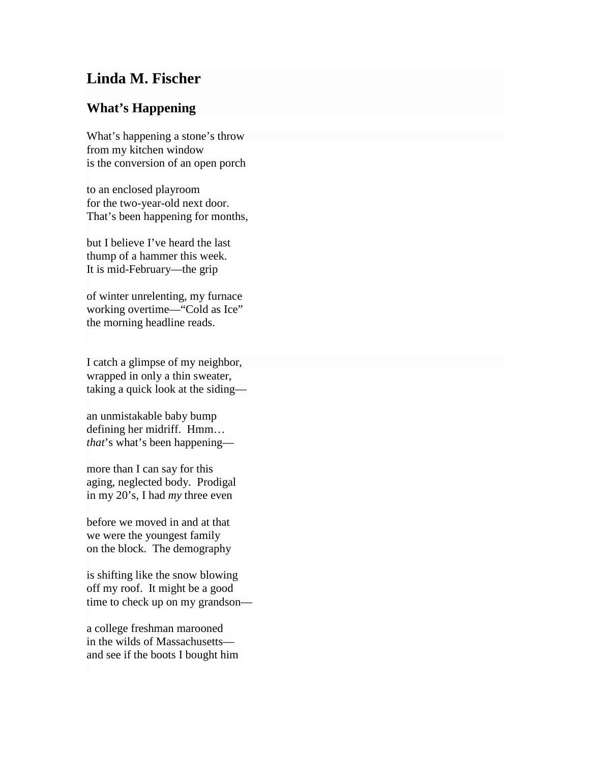## **Linda M. Fischer**

## **What's Happening**

What's happening a stone's throw from my kitchen window is the conversion of an open porch

to an enclosed playroom for the two-year-old next door. That's been happening for months,

but I believe I've heard the last thump of a hammer this week. It is mid-February—the grip

of winter unrelenting, my furnace working overtime—"Cold as Ice" the morning headline reads.

I catch a glimpse of my neighbor, wrapped in only a thin sweater, taking a quick look at the siding—

an unmistakable baby bump defining her midriff. Hmm… *that*'s what's been happening—

more than I can say for this aging, neglected body. Prodigal in my 20's, I had *my* three even

before we moved in and at that we were the youngest family on the block. The demography

is shifting like the snow blowing off my roof. It might be a good time to check up on my grandson—

a college freshman marooned in the wilds of Massachusetts and see if the boots I bought him